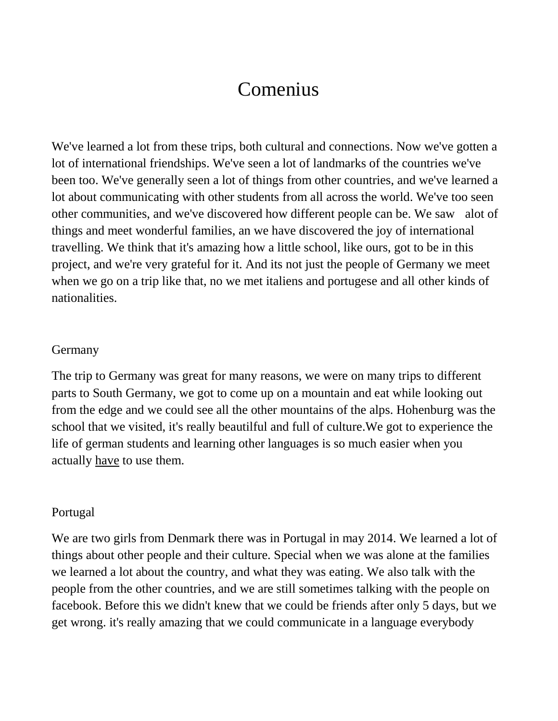## Comenius

We've learned a lot from these trips, both cultural and connections. Now we've gotten a lot of international friendships. We've seen a lot of landmarks of the countries we've been too. We've generally seen a lot of things from other countries, and we've learned a lot about communicating with other students from all across the world. We've too seen other communities, and we've discovered how different people can be. We saw alot of things and meet wonderful families, an we have discovered the joy of international travelling. We think that it's amazing how a little school, like ours, got to be in this project, and we're very grateful for it. And its not just the people of Germany we meet when we go on a trip like that, no we met italiens and portugese and all other kinds of nationalities.

## **Germany**

The trip to Germany was great for many reasons, we were on many trips to different parts to South Germany, we got to come up on a mountain and eat while looking out from the edge and we could see all the other mountains of the alps. Hohenburg was the school that we visited, it's really beautilful and full of culture.We got to experience the life of german students and learning other languages is so much easier when you actually have to use them.

## Portugal

We are two girls from Denmark there was in Portugal in may 2014. We learned a lot of things about other people and their culture. Special when we was alone at the families we learned a lot about the country, and what they was eating. We also talk with the people from the other countries, and we are still sometimes talking with the people on facebook. Before this we didn't knew that we could be friends after only 5 days, but we get wrong. it's really amazing that we could communicate in a language everybody